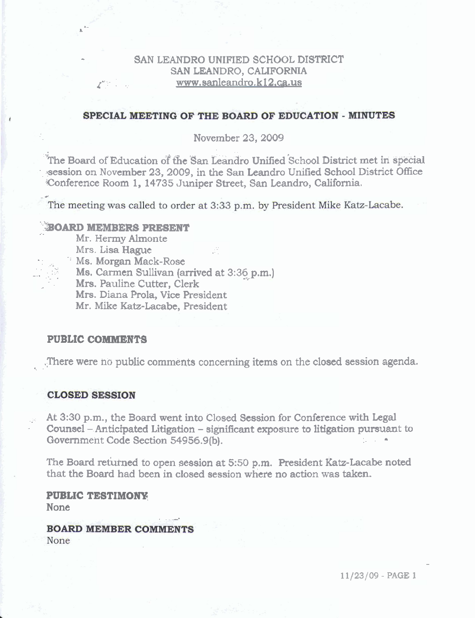## SAN LEANDRO UNIFIED SCHOOL DISTRICT SAN LEANDRO, CALIFORNIA www.sanleandro.k12.ca.us

# SPECIAL MEETING OF THE BOARD OF EDUCATION - MINUTES

#### November 23, 2009

The Board of Education of the San Leandro Unified School District met in special session on November 23, 2009, in the San Leandro Unified School District Office Conference Room 1, 14735 Juniper Street. San Leandro, California.

The meeting was called to order at 3:33 p.m. by President Mike Katz-Lacabe.

### **BOARD MEMBERS PRESENT**

Mr. Hermy Almonte Mrs. Lisa Hague <sup>1</sup> Ms. Morgan Mack-Rose Ms. Carmen Sullivan (arrived at 3:36 p.m.) Mrs. Pauline Cutter, Clerk Mrs. Diana Prola, Vice President Mr. Mike Katz-Lacabe, President

#### **PUBLIC COMMENTS**

There were no public comments concerning items on the closed session agenda.

#### **CLOSED SESSION**

At 3:30 p.m., the Board went into Closed Session for Conference with Legal Counsel – Anticipated Litigation – significant exposure to litigation pursuant to Government Code Section 54956.9(b).

The Board returned to open session at 5:50 p.m. President Katz-Lacabe noted that the Board had been in closed session where no action was taken.

**PUBLIC TESTIMONY None** 

# **BOARD MEMBER COMMENTS**

None

11/23/09 - PAGE 1